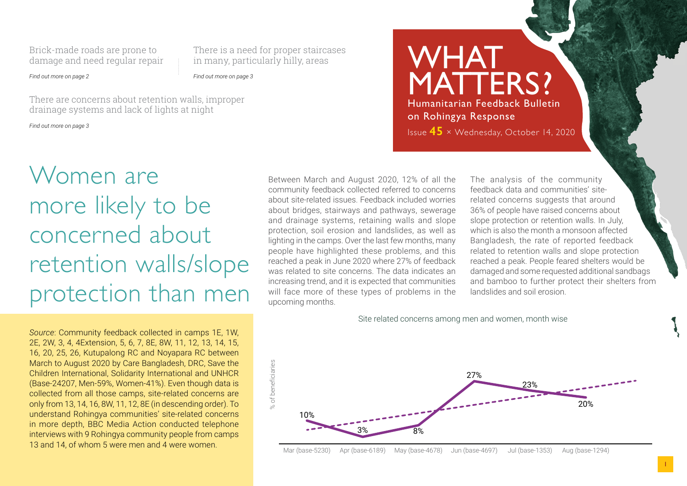Brick-made roads are prone to damage and need regular repair There is a need for proper staircases in many, particularly hilly, areas

*Find out more on page 2*

*Find out more on page 3*

There are concerns about retention walls, improper drainage systems and lack of lights at night

*Find out more on page 3*

## Women are more likely to be concerned about retention walls/slope protection than men

*Source*: Community feedback collected in camps 1E, 1W, 2E, 2W, 3, 4, 4Extension, 5, 6, 7, 8E, 8W, 11, 12, 13, 14, 15, 16, 20, 25, 26, Kutupalong RC and Noyapara RC between March to August 2020 by Care Bangladesh, DRC, Save the Children International, Solidarity International and UNHCR (Base-24207, Men-59%, Women-41%). Even though data is collected from all those camps, site-related concerns are only from 13, 14, 16, 8W, 11, 12, 8E (in descending order). To understand Rohingya communities' site-related concerns in more depth, BBC Media Action conducted telephone interviews with 9 Rohingya community people from camps 13 and 14, of whom 5 were men and 4 were women.

Between March and August 2020, 12% of all the community feedback collected referred to concerns about site-related issues. Feedback included worries about bridges, stairways and pathways, sewerage and drainage systems, retaining walls and slope protection, soil erosion and landslides, as well as lighting in the camps. Over the last few months, many people have highlighted these problems, and this reached a peak in June 2020 where 27% of feedback was related to site concerns. The data indicates an increasing trend, and it is expected that communities will face more of these types of problems in the upcoming months.

WHAT MATTERS? Humanitarian Feedback Bulletin on Rohingya Response Issue **45** × Wednesday, October 14, 2020

> The analysis of the community feedback data and communities' siterelated concerns suggests that around 36% of people have raised concerns about slope protection or retention walls. In July, which is also the month a monsoon affected Bangladesh, the rate of reported feedback related to retention walls and slope protection reached a peak. People feared shelters would be damaged and some requested additional sandbags and bamboo to further protect their shelters from landslides and soil erosion.

Site related concerns among men and women, month wise



Mar (base-5230) Apr (base-6189) May (base-4678) Jun (base-4697) Jul (base-1353) Aug (base-1294)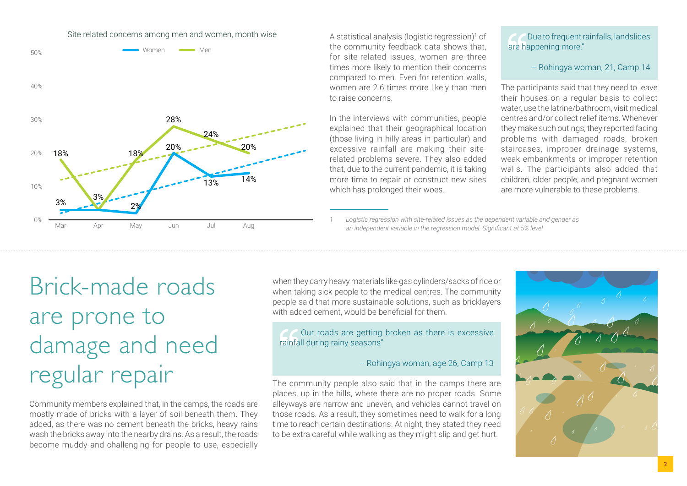



A statistical analysis (logistic regression)<sup>1</sup> of the community feedback data shows that, for site-related issues, women are three times more likely to mention their concerns compared to men. Even for retention walls, women are 2.6 times more likely than men to raise concerns.

In the interviews with communities, people explained that their geographical location (those living in hilly areas in particular) and excessive rainfall are making their siterelated problems severe. They also added that, due to the current pandemic, it is taking more time to repair or construct new sites which has prolonged their woes.

 Due to frequent rainfalls, landslides are happening more."

– Rohingya woman, 21, Camp 14

The participants said that they need to leave their houses on a regular basis to collect water, use the latrine/bathroom, visit medical centres and/or collect relief items. Whenever they make such outings, they reported facing problems with damaged roads, broken staircases, improper drainage systems, weak embankments or improper retention walls. The participants also added that children, older people, and pregnant women are more vulnerable to these problems.

*1 Logistic regression with site-related issues as the dependent variable and gender as an independent variable in the regression model. Significant at 5% level*

## Brick-made roads are prone to damage and need regular repair

Community members explained that, in the camps, the roads are mostly made of bricks with a layer of soil beneath them. They added, as there was no cement beneath the bricks, heavy rains wash the bricks away into the nearby drains. As a result, the roads become muddy and challenging for people to use, especially when they carry heavy materials like gas cylinders/sacks of rice or when taking sick people to the medical centres. The community people said that more sustainable solutions, such as bricklayers with added cement, would be beneficial for them.

 Our roads are getting broken as there is excessive rainfall during rainy seasons"

– Rohingya woman, age 26, Camp 13

The community people also said that in the camps there are places, up in the hills, where there are no proper roads. Some alleyways are narrow and uneven, and vehicles cannot travel on those roads. As a result, they sometimes need to walk for a long time to reach certain destinations. At night, they stated they need to be extra careful while walking as they might slip and get hurt.